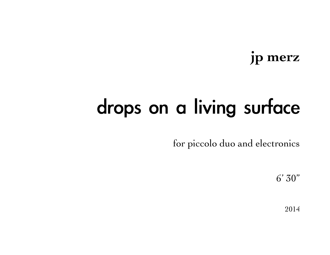# jp merz

# drops on a living surface

for piccolo duo and electronics

6' 30"

2014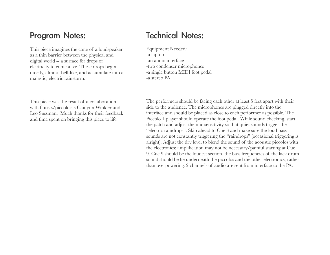### **Program Notes:**

This piece imagines the cone of a loudspeaker as a thin barrier between the physical and digital world -- a surface for drops of electricity to come alive. These drops begin quietly, almost bell-like, and accumulate into a majestic, electric rainstorm.

This piece was the result of a collaboration with flutists/piccoloists Caitlynn Winkler and Leo Sussman. Much thanks for their feedback and time spent on bringing this piece to life.

## **Technical Notes:**

- Equipment Needed: -a laptop -an audio interface
- -two condenser microphones
- -a single button MIDI foot pedal
- -a stereo PA

The performers should be facing each other at least 5 feet apart with their side to the audience. The microphones are plugged directly into the interface and should be placed as close to each performer as possible. The Piccolo 1 player should operate the foot pedal. While sound checking, start the patch and adjust the mic sensitivity so that quiet sounds trigger the "electric raindrops". Skip ahead to Cue 3 and make sure the loud bass sounds are not constantly triggering the "raindrops" (occasional triggering is alright). Adjust the dry level to blend the sound of the acoustic piccolos with the electronics; amplification may not be necessary/painful starting at Cue 9. Cue 9 should be the loudest section, the bass frequencies of the kick drum sound should be lie underneath the piccolos and the other electronics, rather than overpowering. 2 channels of audio are sent from interface to the PA.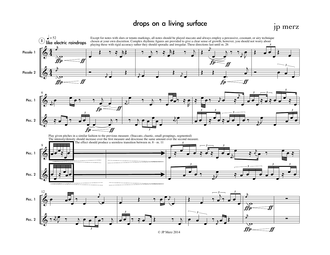# drops on a living surface the set of the set of the set of the set of the set of the set of the set of the set





Play given pitches in a similar fashion to the previous measure. (Staccato, chaotic, small groupings, segmented)<br>The intensity/density should increase over the first measure and descrease the same amount over the second me



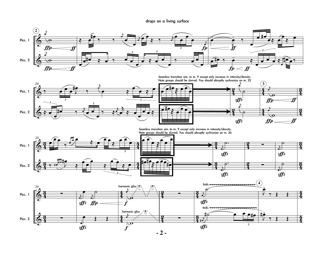





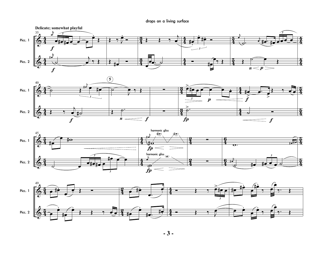





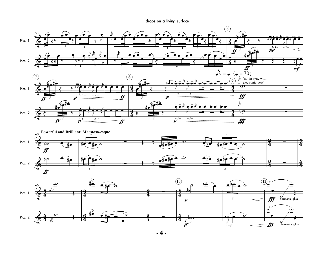







 $-4-$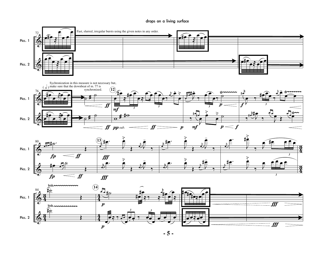

**- 5 -**